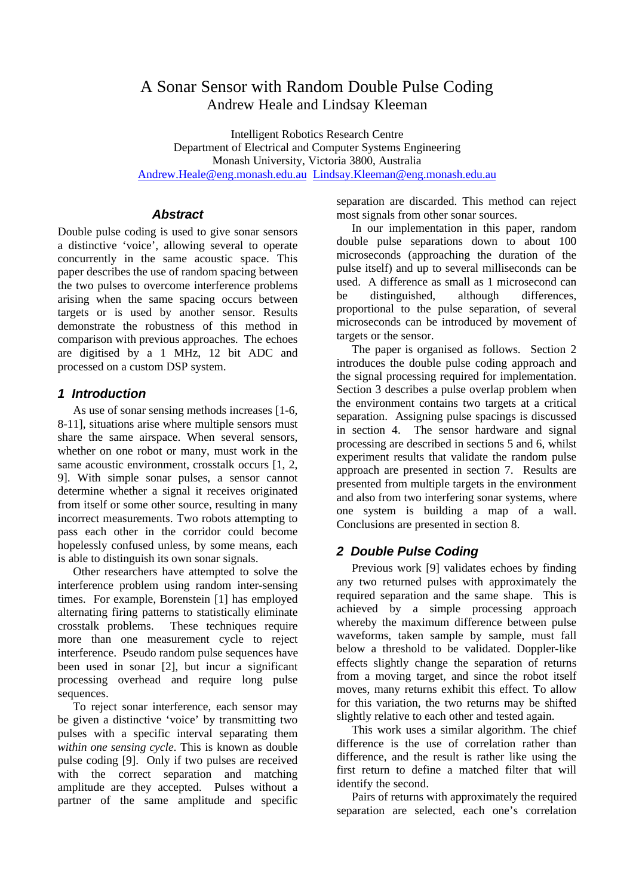# A Sonar Sensor with Random Double Pulse Coding Andrew Heale and Lindsay Kleeman

Intelligent Robotics Research Centre Department of Electrical and Computer Systems Engineering Monash University, Victoria 3800, Australia Andrew.Heale@eng.monash.edu.au Lindsay.Kleeman@eng.monash.edu.au

### *Abstract*

Double pulse coding is used to give sonar sensors a distinctive 'voice', allowing several to operate concurrently in the same acoustic space. This paper describes the use of random spacing between the two pulses to overcome interference problems arising when the same spacing occurs between targets or is used by another sensor. Results demonstrate the robustness of this method in comparison with previous approaches. The echoes are digitised by a 1 MHz, 12 bit ADC and processed on a custom DSP system.

### *1 Introduction*

As use of sonar sensing methods increases [1-6, 8-11], situations arise where multiple sensors must share the same airspace. When several sensors, whether on one robot or many, must work in the same acoustic environment, crosstalk occurs [1, 2, 9]. With simple sonar pulses, a sensor cannot determine whether a signal it receives originated from itself or some other source, resulting in many incorrect measurements. Two robots attempting to pass each other in the corridor could become hopelessly confused unless, by some means, each is able to distinguish its own sonar signals.

Other researchers have attempted to solve the interference problem using random inter-sensing times. For example, Borenstein [1] has employed alternating firing patterns to statistically eliminate crosstalk problems. These techniques require more than one measurement cycle to reject interference. Pseudo random pulse sequences have been used in sonar [2], but incur a significant processing overhead and require long pulse sequences.

To reject sonar interference, each sensor may be given a distinctive 'voice' by transmitting two pulses with a specific interval separating them *within one sensing cycle*. This is known as double pulse coding [9]. Only if two pulses are received with the correct separation and matching amplitude are they accepted. Pulses without a partner of the same amplitude and specific

separation are discarded. This method can reject most signals from other sonar sources.

In our implementation in this paper, random double pulse separations down to about 100 microseconds (approaching the duration of the pulse itself) and up to several milliseconds can be used. A difference as small as 1 microsecond can be distinguished, although differences, proportional to the pulse separation, of several microseconds can be introduced by movement of targets or the sensor.

The paper is organised as follows. Section 2 introduces the double pulse coding approach and the signal processing required for implementation. Section 3 describes a pulse overlap problem when the environment contains two targets at a critical separation. Assigning pulse spacings is discussed in section 4. The sensor hardware and signal processing are described in sections 5 and 6, whilst experiment results that validate the random pulse approach are presented in section 7. Results are presented from multiple targets in the environment and also from two interfering sonar systems, where one system is building a map of a wall. Conclusions are presented in section 8.

# *2 Double Pulse Coding*

Previous work [9] validates echoes by finding any two returned pulses with approximately the required separation and the same shape. This is achieved by a simple processing approach whereby the maximum difference between pulse waveforms, taken sample by sample, must fall below a threshold to be validated. Doppler-like effects slightly change the separation of returns from a moving target, and since the robot itself moves, many returns exhibit this effect. To allow for this variation, the two returns may be shifted slightly relative to each other and tested again.

This work uses a similar algorithm. The chief difference is the use of correlation rather than difference, and the result is rather like using the first return to define a matched filter that will identify the second.

Pairs of returns with approximately the required separation are selected, each one's correlation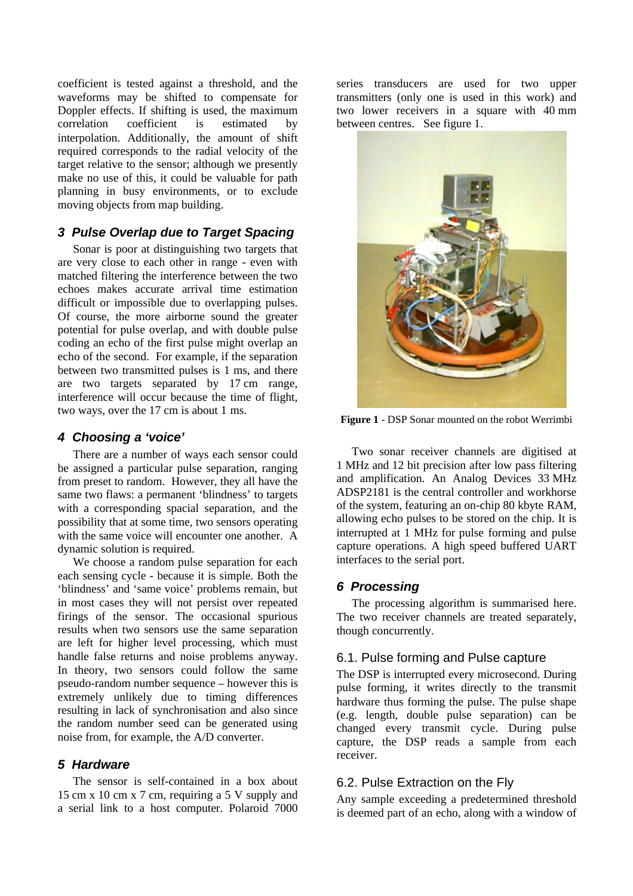coefficient is tested against a threshold, and the waveforms may be shifted to compensate for Doppler effects. If shifting is used, the maximum correlation coefficient is estimated by interpolation. Additionally, the amount of shift required corresponds to the radial velocity of the target relative to the sensor; although we presently make no use of this, it could be valuable for path planning in busy environments, or to exclude moving objects from map building.

# *3 Pulse Overlap due to Target Spacing*

Sonar is poor at distinguishing two targets that are very close to each other in range - even with matched filtering the interference between the two echoes makes accurate arrival time estimation difficult or impossible due to overlapping pulses. Of course, the more airborne sound the greater potential for pulse overlap, and with double pulse coding an echo of the first pulse might overlap an echo of the second. For example, if the separation between two transmitted pulses is 1 ms, and there are two targets separated by 17 cm range, interference will occur because the time of flight, two ways, over the 17 cm is about 1 ms.

# *4 Choosing a 'voice'*

There are a number of ways each sensor could be assigned a particular pulse separation, ranging from preset to random. However, they all have the same two flaws: a permanent 'blindness' to targets with a corresponding spacial separation, and the possibility that at some time, two sensors operating with the same voice will encounter one another. A dynamic solution is required.

We choose a random pulse separation for each each sensing cycle - because it is simple. Both the 'blindness' and 'same voice' problems remain, but in most cases they will not persist over repeated firings of the sensor. The occasional spurious results when two sensors use the same separation are left for higher level processing, which must handle false returns and noise problems anyway. In theory, two sensors could follow the same pseudo-random number sequence – however this is extremely unlikely due to timing differences resulting in lack of synchronisation and also since the random number seed can be generated using noise from, for example, the A/D converter.

#### *5 Hardware*

The sensor is self-contained in a box about 15 cm x 10 cm x 7 cm, requiring a 5 V supply and a serial link to a host computer. Polaroid 7000 series transducers are used for two upper transmitters (only one is used in this work) and two lower receivers in a square with 40 mm between centres. See figure 1.



**Figure 1** - DSP Sonar mounted on the robot Werrimbi

Two sonar receiver channels are digitised at 1 MHz and 12 bit precision after low pass filtering and amplification. An Analog Devices 33 MHz ADSP2181 is the central controller and workhorse of the system, featuring an on-chip 80 kbyte RAM, allowing echo pulses to be stored on the chip. It is interrupted at 1 MHz for pulse forming and pulse capture operations. A high speed buffered UART interfaces to the serial port.

# *6 Processing*

The processing algorithm is summarised here. The two receiver channels are treated separately, though concurrently.

# 6.1. Pulse forming and Pulse capture

The DSP is interrupted every microsecond. During pulse forming, it writes directly to the transmit hardware thus forming the pulse. The pulse shape (e.g. length, double pulse separation) can be changed every transmit cycle. During pulse capture, the DSP reads a sample from each receiver.

# 6.2. Pulse Extraction on the Fly

Any sample exceeding a predetermined threshold is deemed part of an echo, along with a window of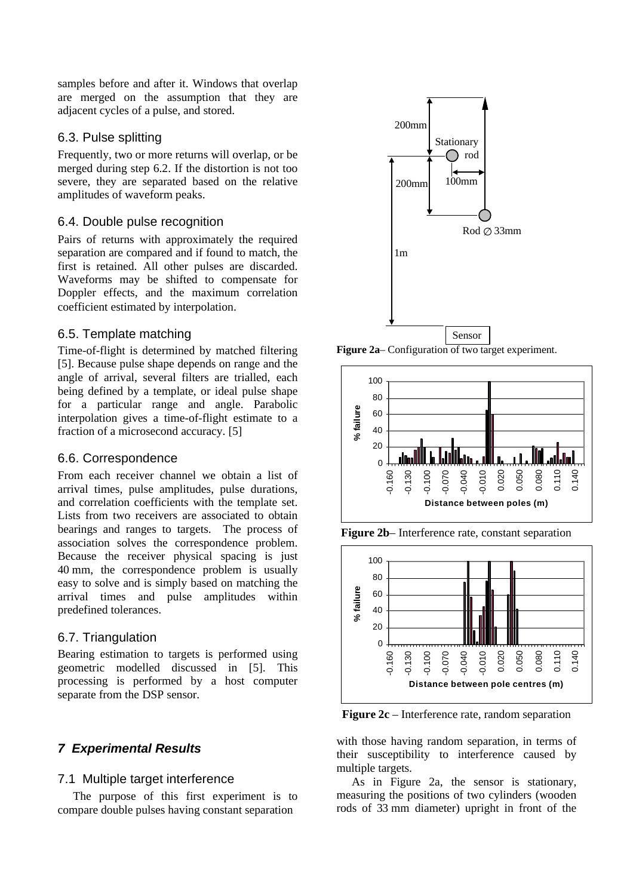samples before and after it. Windows that overlap are merged on the assumption that they are adjacent cycles of a pulse, and stored.

# 6.3. Pulse splitting

Frequently, two or more returns will overlap, or be merged during step 6.2. If the distortion is not too severe, they are separated based on the relative amplitudes of waveform peaks.

# 6.4. Double pulse recognition

Pairs of returns with approximately the required separation are compared and if found to match, the first is retained. All other pulses are discarded. Waveforms may be shifted to compensate for Doppler effects, and the maximum correlation coefficient estimated by interpolation.

### 6.5. Template matching

Time-of-flight is determined by matched filtering [5]. Because pulse shape depends on range and the angle of arrival, several filters are trialled, each being defined by a template, or ideal pulse shape for a particular range and angle. Parabolic interpolation gives a time-of-flight estimate to a fraction of a microsecond accuracy. [5]

### 6.6. Correspondence

From each receiver channel we obtain a list of arrival times, pulse amplitudes, pulse durations, and correlation coefficients with the template set. Lists from two receivers are associated to obtain bearings and ranges to targets. The process of association solves the correspondence problem. Because the receiver physical spacing is just 40 mm, the correspondence problem is usually easy to solve and is simply based on matching the arrival times and pulse amplitudes within predefined tolerances.

# 6.7. Triangulation

Bearing estimation to targets is performed using geometric modelled discussed in [5]. This processing is performed by a host computer separate from the DSP sensor.

# *7 Experimental Results*

#### 7.1 Multiple target interference

The purpose of this first experiment is to compare double pulses having constant separation



**Figure 2a**– Configuration of two target experiment.



**Figure 2b**– Interference rate, constant separation



**Figure 2c** – Interference rate, random separation

with those having random separation, in terms of their susceptibility to interference caused by multiple targets.

As in Figure 2a, the sensor is stationary, measuring the positions of two cylinders (wooden rods of 33 mm diameter) upright in front of the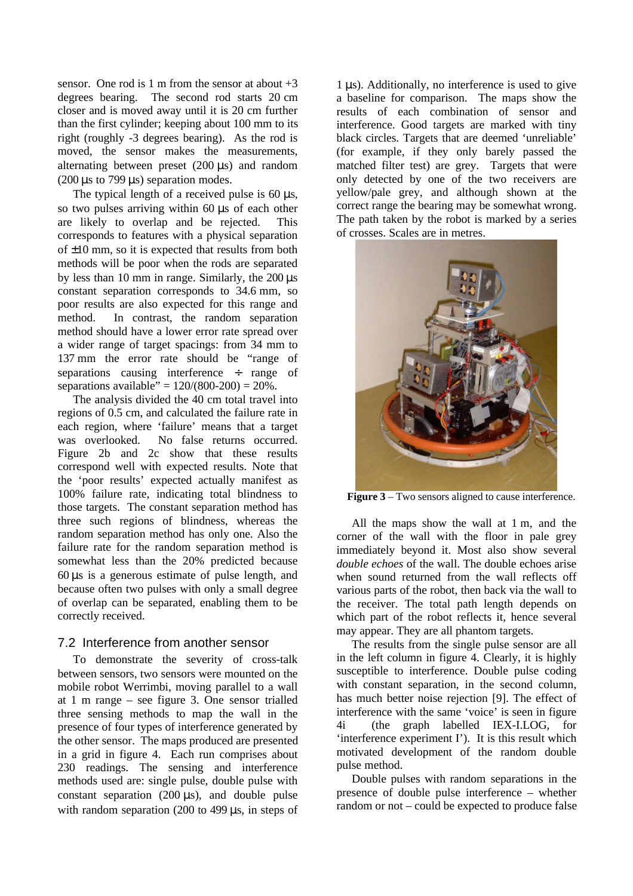sensor. One rod is 1 m from the sensor at about  $+3$ degrees bearing. The second rod starts 20 cm closer and is moved away until it is 20 cm further than the first cylinder; keeping about 100 mm to its right (roughly -3 degrees bearing). As the rod is moved, the sensor makes the measurements, alternating between preset (200 μs) and random (200  $\mu$ s to 799  $\mu$ s) separation modes.

The typical length of a received pulse is 60 μs, so two pulses arriving within 60 μs of each other are likely to overlap and be rejected. This corresponds to features with a physical separation of  $\pm 10$  mm, so it is expected that results from both methods will be poor when the rods are separated by less than 10 mm in range. Similarly, the 200 μs constant separation corresponds to 34.6 mm, so poor results are also expected for this range and method. In contrast, the random separation method should have a lower error rate spread over a wider range of target spacings: from 34 mm to 137 mm the error rate should be "range of separations causing interference ÷ range of separations available" =  $120/(800-200) = 20%$ .

The analysis divided the 40 cm total travel into regions of 0.5 cm, and calculated the failure rate in each region, where 'failure' means that a target was overlooked. No false returns occurred. Figure 2b and 2c show that these results correspond well with expected results. Note that the 'poor results' expected actually manifest as 100% failure rate, indicating total blindness to those targets. The constant separation method has three such regions of blindness, whereas the random separation method has only one. Also the failure rate for the random separation method is somewhat less than the 20% predicted because 60 μs is a generous estimate of pulse length, and because often two pulses with only a small degree of overlap can be separated, enabling them to be correctly received.

#### 7.2 Interference from another sensor

To demonstrate the severity of cross-talk between sensors, two sensors were mounted on the mobile robot Werrimbi, moving parallel to a wall at 1 m range – see figure 3. One sensor trialled three sensing methods to map the wall in the presence of four types of interference generated by the other sensor. The maps produced are presented in a grid in figure 4. Each run comprises about 230 readings. The sensing and interference methods used are: single pulse, double pulse with constant separation (200  $\mu$ s), and double pulse with random separation (200 to 499 μs, in steps of

1 μs). Additionally, no interference is used to give a baseline for comparison. The maps show the results of each combination of sensor and interference. Good targets are marked with tiny black circles. Targets that are deemed 'unreliable' (for example, if they only barely passed the matched filter test) are grey. Targets that were only detected by one of the two receivers are yellow/pale grey, and although shown at the correct range the bearing may be somewhat wrong. The path taken by the robot is marked by a series of crosses. Scales are in metres.



**Figure 3** – Two sensors aligned to cause interference.

All the maps show the wall at 1 m, and the corner of the wall with the floor in pale grey immediately beyond it. Most also show several *double echoes* of the wall. The double echoes arise when sound returned from the wall reflects off various parts of the robot, then back via the wall to the receiver. The total path length depends on which part of the robot reflects it, hence several may appear. They are all phantom targets.

The results from the single pulse sensor are all in the left column in figure 4. Clearly, it is highly susceptible to interference. Double pulse coding with constant separation, in the second column, has much better noise rejection [9]. The effect of interference with the same 'voice' is seen in figure 4i (the graph labelled IEX-I.LOG, for 'interference experiment I'). It is this result which motivated development of the random double pulse method.

Double pulses with random separations in the presence of double pulse interference – whether random or not – could be expected to produce false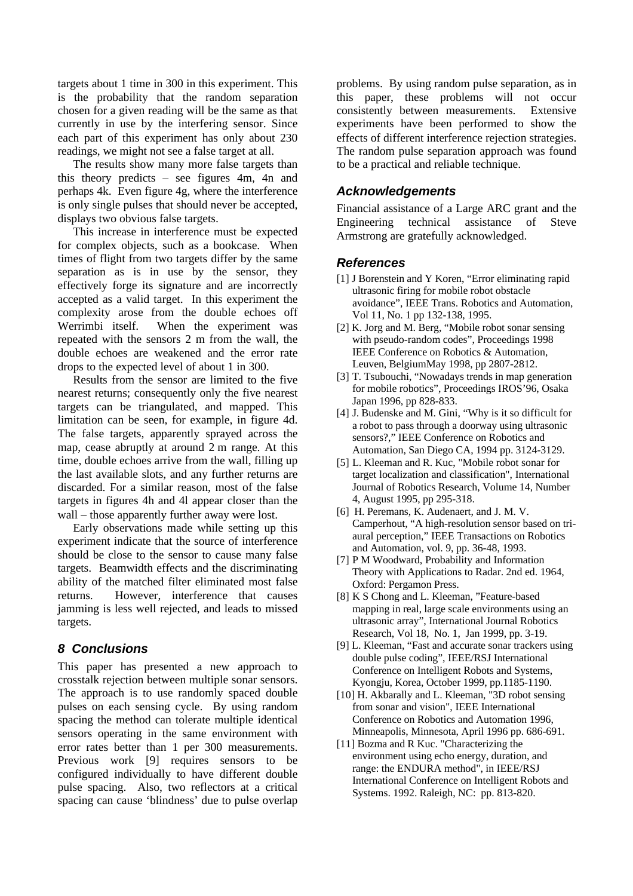targets about 1 time in 300 in this experiment. This is the probability that the random separation chosen for a given reading will be the same as that currently in use by the interfering sensor. Since each part of this experiment has only about 230 readings, we might not see a false target at all.

The results show many more false targets than this theory predicts – see figures 4m, 4n and perhaps 4k. Even figure 4g, where the interference is only single pulses that should never be accepted, displays two obvious false targets.

This increase in interference must be expected for complex objects, such as a bookcase. When times of flight from two targets differ by the same separation as is in use by the sensor, they effectively forge its signature and are incorrectly accepted as a valid target. In this experiment the complexity arose from the double echoes off Werrimbi itself. When the experiment was repeated with the sensors 2 m from the wall, the double echoes are weakened and the error rate drops to the expected level of about 1 in 300.

Results from the sensor are limited to the five nearest returns; consequently only the five nearest targets can be triangulated, and mapped. This limitation can be seen, for example, in figure 4d. The false targets, apparently sprayed across the map, cease abruptly at around 2 m range. At this time, double echoes arrive from the wall, filling up the last available slots, and any further returns are discarded. For a similar reason, most of the false targets in figures 4h and 4l appear closer than the wall – those apparently further away were lost.

Early observations made while setting up this experiment indicate that the source of interference should be close to the sensor to cause many false targets. Beamwidth effects and the discriminating ability of the matched filter eliminated most false returns. However, interference that causes jamming is less well rejected, and leads to missed targets.

### *8 Conclusions*

This paper has presented a new approach to crosstalk rejection between multiple sonar sensors. The approach is to use randomly spaced double pulses on each sensing cycle. By using random spacing the method can tolerate multiple identical sensors operating in the same environment with error rates better than 1 per 300 measurements. Previous work [9] requires sensors to be configured individually to have different double pulse spacing. Also, two reflectors at a critical spacing can cause 'blindness' due to pulse overlap

problems. By using random pulse separation, as in this paper, these problems will not occur consistently between measurements. Extensive experiments have been performed to show the effects of different interference rejection strategies. The random pulse separation approach was found to be a practical and reliable technique.

### *Acknowledgements*

Financial assistance of a Large ARC grant and the Engineering technical assistance of Steve Armstrong are gratefully acknowledged.

### *References*

- [1] J Borenstein and Y Koren, "Error eliminating rapid ultrasonic firing for mobile robot obstacle avoidance", IEEE Trans. Robotics and Automation, Vol 11, No. 1 pp 132-138, 1995.
- [2] K. Jorg and M. Berg, "Mobile robot sonar sensing with pseudo-random codes", Proceedings 1998 IEEE Conference on Robotics & Automation, Leuven, BelgiumMay 1998, pp 2807-2812.
- [3] T. Tsubouchi, "Nowadays trends in map generation for mobile robotics", Proceedings IROS'96, Osaka Japan 1996, pp 828-833.
- [4] J. Budenske and M. Gini, "Why is it so difficult for a robot to pass through a doorway using ultrasonic sensors?," IEEE Conference on Robotics and Automation, San Diego CA, 1994 pp. 3124-3129.
- [5] L. Kleeman and R. Kuc, "Mobile robot sonar for target localization and classification", International Journal of Robotics Research, Volume 14, Number 4, August 1995, pp 295-318.
- [6] H. Peremans, K. Audenaert, and J. M. V. Camperhout, "A high-resolution sensor based on triaural perception," IEEE Transactions on Robotics and Automation, vol. 9, pp. 36-48, 1993.
- [7] P M Woodward, Probability and Information Theory with Applications to Radar. 2nd ed. 1964, Oxford: Pergamon Press.
- [8] K S Chong and L. Kleeman, "Feature-based mapping in real, large scale environments using an ultrasonic array", International Journal Robotics Research, Vol 18, No. 1, Jan 1999, pp. 3-19.
- [9] L. Kleeman, "Fast and accurate sonar trackers using double pulse coding", IEEE/RSJ International Conference on Intelligent Robots and Systems, Kyongju, Korea, October 1999, pp.1185-1190.
- [10] H. Akbarally and L. Kleeman, "3D robot sensing from sonar and vision", IEEE International Conference on Robotics and Automation 1996, Minneapolis, Minnesota, April 1996 pp. 686-691.
- [11] Bozma and R Kuc. "Characterizing the environment using echo energy, duration, and range: the ENDURA method", in IEEE/RSJ International Conference on Intelligent Robots and Systems. 1992. Raleigh, NC: pp. 813-820.